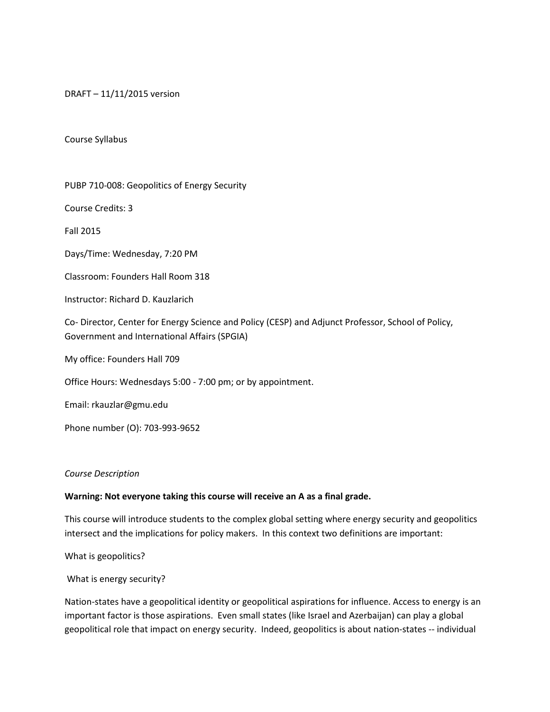DRAFT – 11/11/2015 version

#### Course Syllabus

PUBP 710-008: Geopolitics of Energy Security

Course Credits: 3

Fall 2015

Days/Time: Wednesday, 7:20 PM

Classroom: Founders Hall Room 318

Instructor: Richard D. Kauzlarich

Co- Director, Center for Energy Science and Policy (CESP) and Adjunct Professor, School of Policy, Government and International Affairs (SPGIA)

My office: Founders Hall 709

Office Hours: Wednesdays 5:00 - 7:00 pm; or by appointment.

Email: rkauzlar@gmu.edu

Phone number (O): 703-993-9652

#### *Course Description*

#### **Warning: Not everyone taking this course will receive an A as a final grade.**

This course will introduce students to the complex global setting where energy security and geopolitics intersect and the implications for policy makers. In this context two definitions are important:

What is geopolitics?

What is energy security?

Nation-states have a geopolitical identity or geopolitical aspirations for influence. Access to energy is an important factor is those aspirations. Even small states (like Israel and Azerbaijan) can play a global geopolitical role that impact on energy security. Indeed, geopolitics is about nation-states -- individual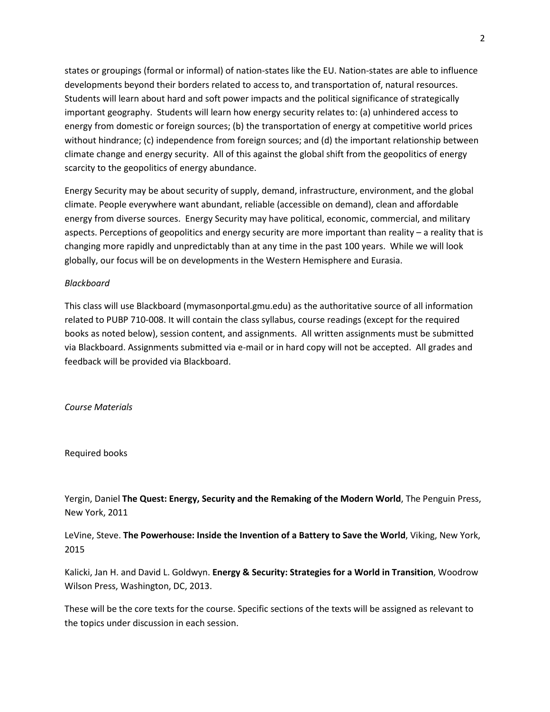states or groupings (formal or informal) of nation-states like the EU. Nation-states are able to influence developments beyond their borders related to access to, and transportation of, natural resources. Students will learn about hard and soft power impacts and the political significance of strategically important geography. Students will learn how energy security relates to: (a) unhindered access to energy from domestic or foreign sources; (b) the transportation of energy at competitive world prices without hindrance; (c) independence from foreign sources; and (d) the important relationship between climate change and energy security. All of this against the global shift from the geopolitics of energy scarcity to the geopolitics of energy abundance.

Energy Security may be about security of supply, demand, infrastructure, environment, and the global climate. People everywhere want abundant, reliable (accessible on demand), clean and affordable energy from diverse sources. Energy Security may have political, economic, commercial, and military aspects. Perceptions of geopolitics and energy security are more important than reality – a reality that is changing more rapidly and unpredictably than at any time in the past 100 years. While we will look globally, our focus will be on developments in the Western Hemisphere and Eurasia.

## *Blackboard*

This class will use Blackboard (mymasonportal.gmu.edu) as the authoritative source of all information related to PUBP 710-008. It will contain the class syllabus, course readings (except for the required books as noted below), session content, and assignments. All written assignments must be submitted via Blackboard. Assignments submitted via e-mail or in hard copy will not be accepted. All grades and feedback will be provided via Blackboard.

*Course Materials* 

Required books

Yergin, Daniel **The Quest: Energy, Security and the Remaking of the Modern World**, The Penguin Press, New York, 2011

LeVine, Steve. **The Powerhouse: Inside the Invention of a Battery to Save the World**, Viking, New York, 2015

Kalicki, Jan H. and David L. Goldwyn. **Energy & Security: Strategies for a World in Transition**, Woodrow Wilson Press, Washington, DC, 2013.

These will be the core texts for the course. Specific sections of the texts will be assigned as relevant to the topics under discussion in each session.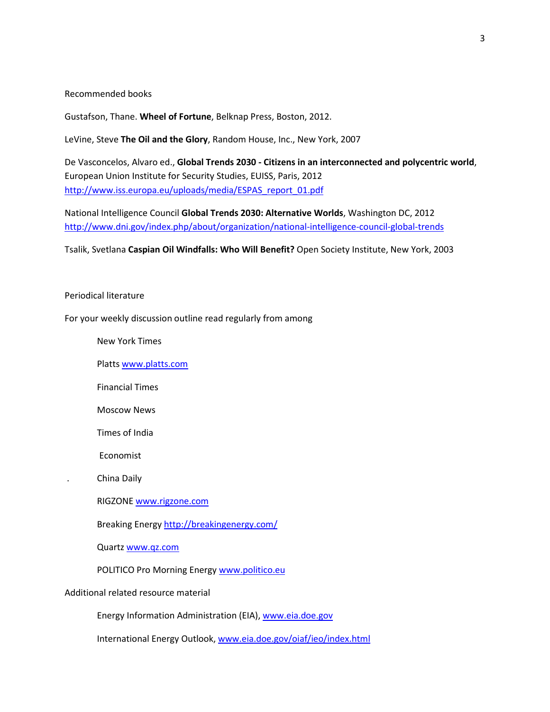Recommended books

Gustafson, Thane. **Wheel of Fortune**, Belknap Press, Boston, 2012.

LeVine, Steve **The Oil and the Glory**, Random House, Inc., New York, 2007

De Vasconcelos, Alvaro ed., **Global Trends 2030 - Citizens in an interconnected and polycentric world**, European Union Institute for Security Studies, EUISS, Paris, 2012 [http://www.iss.europa.eu/uploads/media/ESPAS\\_report\\_01.pdf](http://www.iss.europa.eu/uploads/media/ESPAS_report_01.pdf)

National Intelligence Council **Global Trends 2030: Alternative Worlds**, Washington DC, 2012 <http://www.dni.gov/index.php/about/organization/national-intelligence-council-global-trends>

Tsalik, Svetlana **Caspian Oil Windfalls: Who Will Benefit?** Open Society Institute, New York, 2003

#### Periodical literature

For your weekly discussion outline read regularly from among

New York Times

Platt[s www.platts.com](http://www.platts.com/)

Financial Times

Moscow News

Times of India

Economist

. China Daily

RIGZONE [www.rigzone.com](http://www.rigzone.com/)

Breaking Energ[y http://breakingenergy.com/](http://breakingenergy.com/)

Quartz [www.qz.com](http://www.qz.com/)

POLITICO Pro Morning Energy [www.politico.eu](http://www.politico.eu/)

Additional related resource material

Energy Information Administration (EIA)[, www.eia.doe.gov](http://www.eia.doe.gov/)

International Energy Outlook, [www.eia.doe.gov/oiaf/ieo/index.html](http://www.eia.doe.gov/oiaf/ieo/index.html)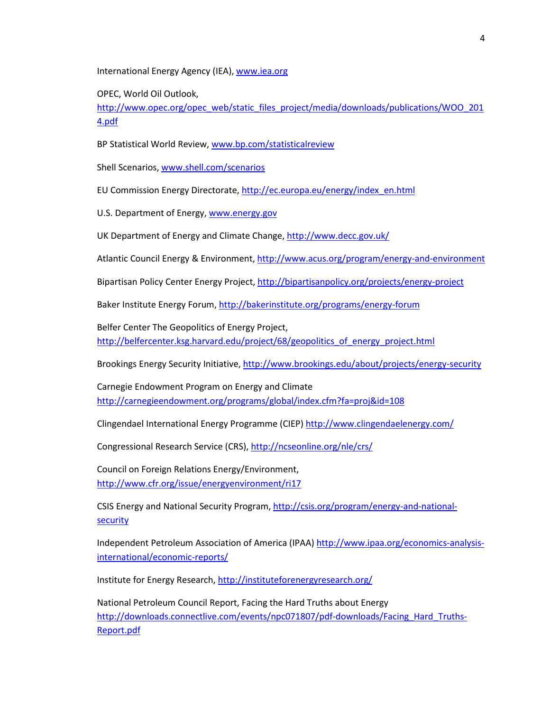International Energy Agency (IEA), [www.iea.org](http://www.iea.org/)

OPEC, World Oil Outlook,

[http://www.opec.org/opec\\_web/static\\_files\\_project/media/downloads/publications/WOO\\_201](http://www.opec.org/opec_web/static_files_project/media/downloads/publications/WOO_2014.pdf) [4.pdf](http://www.opec.org/opec_web/static_files_project/media/downloads/publications/WOO_2014.pdf)

BP Statistical World Review, [www.bp.com/statisticalreview](http://www.bp.com/statisticalreview)

Shell Scenarios, [www.shell.com/scenarios](http://www.shell.com/scenarios)

EU Commission Energy Directorate, [http://ec.europa.eu/energy/index\\_en.html](http://ec.europa.eu/energy/index_en.html)

U.S. Department of Energy[, www.energy.gov](http://www.energy.gov/)

UK Department of Energy and Climate Change, <http://www.decc.gov.uk/>

Atlantic Council Energy & Environment[, http://www.acus.org/program/energy-and-environment](http://www.acus.org/program/energy-and-environment)

Bipartisan Policy Center Energy Project,<http://bipartisanpolicy.org/projects/energy-project>

Baker Institute Energy Forum,<http://bakerinstitute.org/programs/energy-forum>

Belfer Center The Geopolitics of Energy Project, http://belfercenter.ksg.harvard.edu/project/68/geopolitics of energy project.html

Brookings Energy Security Initiative[, http://www.brookings.edu/about/projects/energy-security](http://www.brookings.edu/about/projects/energy-security)

Carnegie Endowment Program on Energy and Climate <http://carnegieendowment.org/programs/global/index.cfm?fa=proj&id=108>

Clingendael International Energy Programme (CIEP[\) http://www.clingendaelenergy.com/](http://www.clingendaelenergy.com/)

Congressional Research Service (CRS)[, http://ncseonline.org/nle/crs/](http://ncseonline.org/nle/crs/)

Council on Foreign Relations Energy/Environment, <http://www.cfr.org/issue/energyenvironment/ri17>

CSIS Energy and National Security Program, [http://csis.org/program/energy-and-national](http://csis.org/program/energy-and-national-security)**[security](http://csis.org/program/energy-and-national-security)** 

Independent Petroleum Association of America (IPAA[\) http://www.ipaa.org/economics-analysis](http://www.ipaa.org/economics-analysis-international/economic-reports/)[international/economic-reports/](http://www.ipaa.org/economics-analysis-international/economic-reports/)

Institute for Energy Research[, http://instituteforenergyresearch.org/](http://instituteforenergyresearch.org/)

National Petroleum Council Report, Facing the Hard Truths about Energy [http://downloads.connectlive.com/events/npc071807/pdf-downloads/Facing\\_Hard\\_Truths-](http://downloads.connectlive.com/events/npc071807/pdf-downloads/Facing_Hard_Truths-Report.pdf)[Report.pdf](http://downloads.connectlive.com/events/npc071807/pdf-downloads/Facing_Hard_Truths-Report.pdf)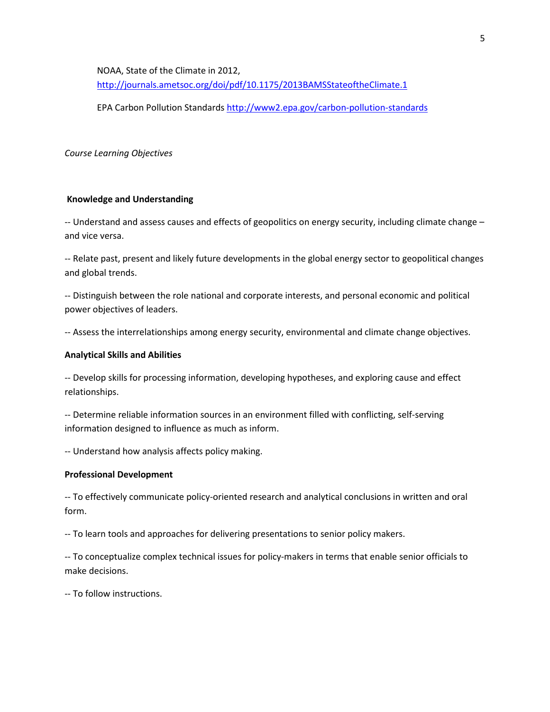NOAA, State of the Climate in 2012, <http://journals.ametsoc.org/doi/pdf/10.1175/2013BAMSStateoftheClimate.1>

EPA Carbon Pollution Standard[s http://www2.epa.gov/carbon-pollution-standards](http://www2.epa.gov/carbon-pollution-standards)

*Course Learning Objectives* 

#### **Knowledge and Understanding**

-- Understand and assess causes and effects of geopolitics on energy security, including climate change – and vice versa.

-- Relate past, present and likely future developments in the global energy sector to geopolitical changes and global trends.

-- Distinguish between the role national and corporate interests, and personal economic and political power objectives of leaders.

-- Assess the interrelationships among energy security, environmental and climate change objectives.

#### **Analytical Skills and Abilities**

-- Develop skills for processing information, developing hypotheses, and exploring cause and effect relationships.

-- Determine reliable information sources in an environment filled with conflicting, self-serving information designed to influence as much as inform.

-- Understand how analysis affects policy making.

### **Professional Development**

-- To effectively communicate policy-oriented research and analytical conclusions in written and oral form.

-- To learn tools and approaches for delivering presentations to senior policy makers.

-- To conceptualize complex technical issues for policy-makers in terms that enable senior officials to make decisions.

-- To follow instructions.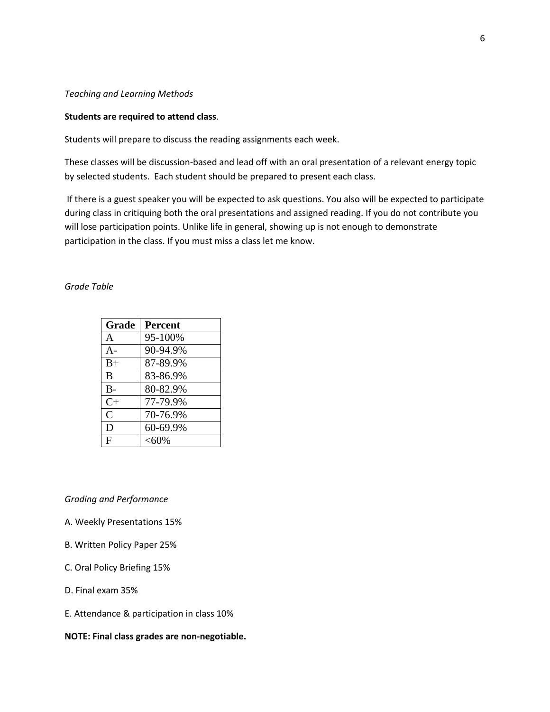## *Teaching and Learning Methods*

#### **Students are required to attend class**.

Students will prepare to discuss the reading assignments each week.

These classes will be discussion-based and lead off with an oral presentation of a relevant energy topic by selected students. Each student should be prepared to present each class.

If there is a guest speaker you will be expected to ask questions. You also will be expected to participate during class in critiquing both the oral presentations and assigned reading. If you do not contribute you will lose participation points. Unlike life in general, showing up is not enough to demonstrate participation in the class. If you must miss a class let me know.

# *Grade Table*

| Grade          | <b>Percent</b> |
|----------------|----------------|
| A              | 95-100%        |
| $A -$          | 90-94.9%       |
| $B+$           | 87-89.9%       |
| B              | 83-86.9%       |
| $B -$          | 80-82.9%       |
| $C+$           | 77-79.9%       |
| $\overline{C}$ | 70-76.9%       |
| D              | 60-69.9%       |
| F              | $< 60\%$       |

## *Grading and Performance*

- A. Weekly Presentations 15%
- B. Written Policy Paper 25%
- C. Oral Policy Briefing 15%
- D. Final exam 35%
- E. Attendance & participation in class 10%

#### **NOTE: Final class grades are non-negotiable.**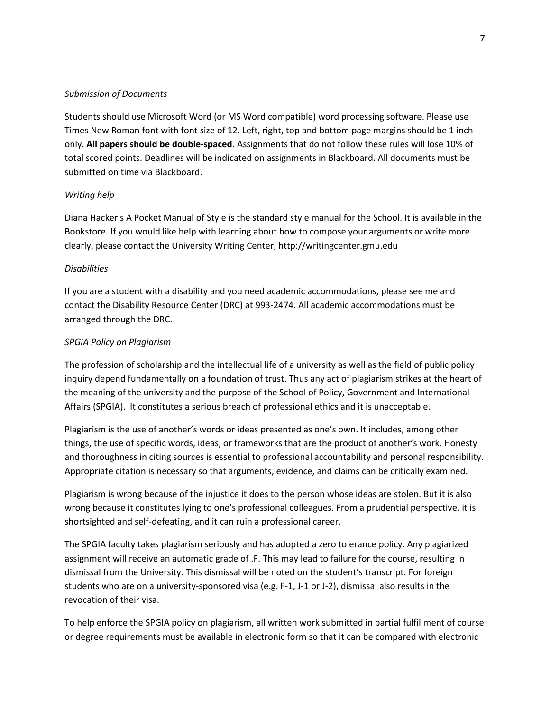## *Submission of Documents*

Students should use Microsoft Word (or MS Word compatible) word processing software. Please use Times New Roman font with font size of 12. Left, right, top and bottom page margins should be 1 inch only. **All papers should be double-spaced.** Assignments that do not follow these rules will lose 10% of total scored points. Deadlines will be indicated on assignments in Blackboard. All documents must be submitted on time via Blackboard.

## *Writing help*

Diana Hacker's A Pocket Manual of Style is the standard style manual for the School. It is available in the Bookstore. If you would like help with learning about how to compose your arguments or write more clearly, please contact the University Writing Center, http://writingcenter.gmu.edu

## *Disabilities*

If you are a student with a disability and you need academic accommodations, please see me and contact the Disability Resource Center (DRC) at 993-2474. All academic accommodations must be arranged through the DRC.

## *SPGIA Policy on Plagiarism*

The profession of scholarship and the intellectual life of a university as well as the field of public policy inquiry depend fundamentally on a foundation of trust. Thus any act of plagiarism strikes at the heart of the meaning of the university and the purpose of the School of Policy, Government and International Affairs (SPGIA). It constitutes a serious breach of professional ethics and it is unacceptable.

Plagiarism is the use of another's words or ideas presented as one's own. It includes, among other things, the use of specific words, ideas, or frameworks that are the product of another's work. Honesty and thoroughness in citing sources is essential to professional accountability and personal responsibility. Appropriate citation is necessary so that arguments, evidence, and claims can be critically examined.

Plagiarism is wrong because of the injustice it does to the person whose ideas are stolen. But it is also wrong because it constitutes lying to one's professional colleagues. From a prudential perspective, it is shortsighted and self-defeating, and it can ruin a professional career.

The SPGIA faculty takes plagiarism seriously and has adopted a zero tolerance policy. Any plagiarized assignment will receive an automatic grade of .F. This may lead to failure for the course, resulting in dismissal from the University. This dismissal will be noted on the student's transcript. For foreign students who are on a university-sponsored visa (e.g. F-1, J-1 or J-2), dismissal also results in the revocation of their visa.

To help enforce the SPGIA policy on plagiarism, all written work submitted in partial fulfillment of course or degree requirements must be available in electronic form so that it can be compared with electronic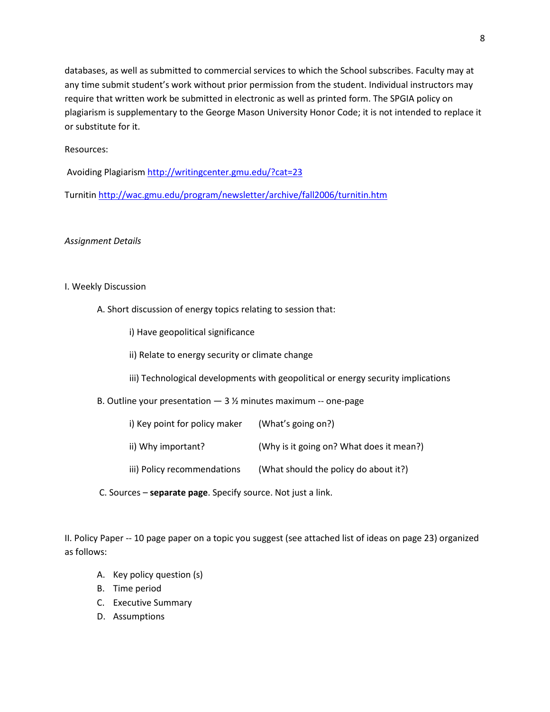databases, as well as submitted to commercial services to which the School subscribes. Faculty may at any time submit student's work without prior permission from the student. Individual instructors may require that written work be submitted in electronic as well as printed form. The SPGIA policy on plagiarism is supplementary to the George Mason University Honor Code; it is not intended to replace it or substitute for it.

# Resources:

Avoiding Plagiarism<http://writingcenter.gmu.edu/?cat=23>

Turnitin<http://wac.gmu.edu/program/newsletter/archive/fall2006/turnitin.htm>

#### *Assignment Details*

### I. Weekly Discussion

- A. Short discussion of energy topics relating to session that:
	- i) Have geopolitical significance
	- ii) Relate to energy security or climate change
	- iii) Technological developments with geopolitical or energy security implications
- B. Outline your presentation  $-3\frac{1}{2}$  minutes maximum -- one-page
	- i) Key point for policy maker (What's going on?) ii) Why important? (Why is it going on? What does it mean?) iii) Policy recommendations (What should the policy do about it?)
- C. Sources **separate page**. Specify source. Not just a link.

II. Policy Paper -- 10 page paper on a topic you suggest (see attached list of ideas on page 23) organized as follows:

- A. Key policy question (s)
- B. Time period
- C. Executive Summary
- D. Assumptions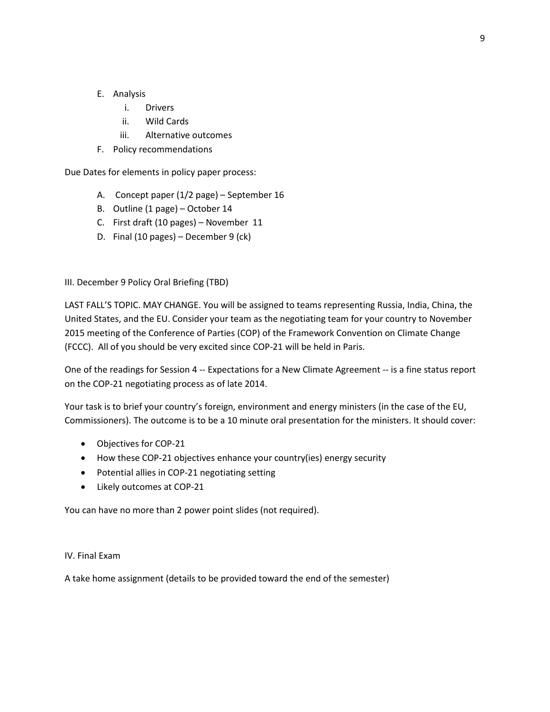- E. Analysis
	- i. Drivers
	- ii. Wild Cards
	- iii. Alternative outcomes
- F. Policy recommendations

Due Dates for elements in policy paper process:

- A. Concept paper (1/2 page) September 16
- B. Outline (1 page) October 14
- C. First draft (10 pages) November 11
- D. Final (10 pages) December 9 (ck)

III. December 9 Policy Oral Briefing (TBD)

LAST FALL'S TOPIC. MAY CHANGE. You will be assigned to teams representing Russia, India, China, the United States, and the EU. Consider your team as the negotiating team for your country to November 2015 meeting of the Conference of Parties (COP) of the Framework Convention on Climate Change (FCCC). All of you should be very excited since COP-21 will be held in Paris.

One of the readings for Session 4 -- Expectations for a New Climate Agreement -- is a fine status report on the COP-21 negotiating process as of late 2014.

Your task is to brief your country's foreign, environment and energy ministers (in the case of the EU, Commissioners). The outcome is to be a 10 minute oral presentation for the ministers. It should cover:

- Objectives for COP-21
- How these COP-21 objectives enhance your country(ies) energy security
- Potential allies in COP-21 negotiating setting
- Likely outcomes at COP-21

You can have no more than 2 power point slides (not required).

#### IV. Final Exam

A take home assignment (details to be provided toward the end of the semester)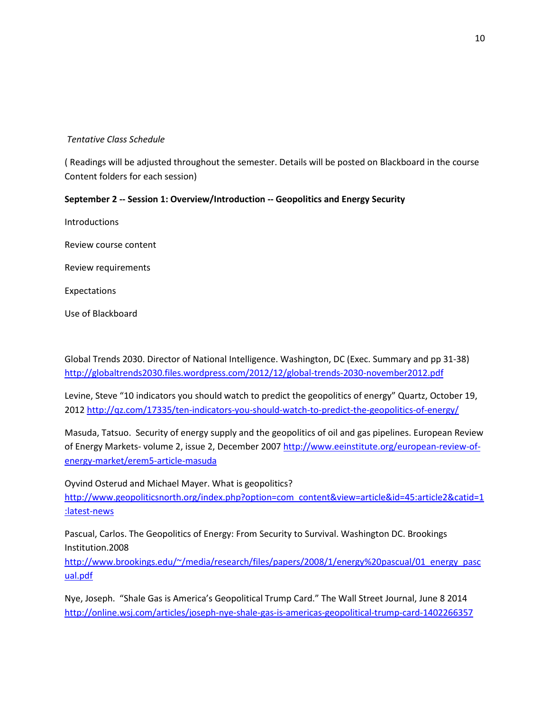# *Tentative Class Schedule*

( Readings will be adjusted throughout the semester. Details will be posted on Blackboard in the course Content folders for each session)

# **September 2 -- Session 1: Overview/Introduction -- Geopolitics and Energy Security**

Introductions

Review course content

Review requirements

Expectations

Use of Blackboard

Global Trends 2030. Director of National Intelligence. Washington, DC (Exec. Summary and pp 31-38) <http://globaltrends2030.files.wordpress.com/2012/12/global-trends-2030-november2012.pdf>

Levine, Steve "10 indicators you should watch to predict the geopolitics of energy" Quartz, October 19, 2012 <http://qz.com/17335/ten-indicators-you-should-watch-to-predict-the-geopolitics-of-energy/>

Masuda, Tatsuo. Security of energy supply and the geopolitics of oil and gas pipelines. European Review of Energy Markets- volume 2, issue 2, December 200[7 http://www.eeinstitute.org/european-review-of](http://www.eeinstitute.org/european-review-of-energy-market/erem5-article-masuda)[energy-market/erem5-article-masuda](http://www.eeinstitute.org/european-review-of-energy-market/erem5-article-masuda)

Oyvind Osterud and Michael Mayer. What is geopolitics? [http://www.geopoliticsnorth.org/index.php?option=com\\_content&view=article&id=45:article2&catid=1](http://www.geopoliticsnorth.org/index.php?option=com_content&view=article&id=45:article2&catid=1:latest-news) [:latest-news](http://www.geopoliticsnorth.org/index.php?option=com_content&view=article&id=45:article2&catid=1:latest-news)

Pascual, Carlos. The Geopolitics of Energy: From Security to Survival. Washington DC. Brookings Institution.2008

[http://www.brookings.edu/~/media/research/files/papers/2008/1/energy%20pascual/01\\_energy\\_pasc](http://www.brookings.edu/~/media/research/files/papers/2008/1/energy%20pascual/01_energy_pascual.pdf) [ual.pdf](http://www.brookings.edu/~/media/research/files/papers/2008/1/energy%20pascual/01_energy_pascual.pdf)

Nye, Joseph. "Shale Gas is America's Geopolitical Trump Card." The Wall Street Journal, June 8 2014 <http://online.wsj.com/articles/joseph-nye-shale-gas-is-americas-geopolitical-trump-card-1402266357>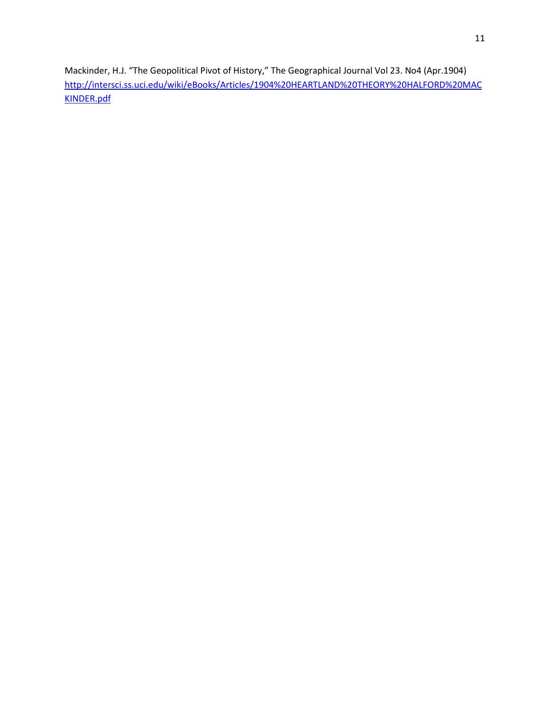Mackinder, H.J. "The Geopolitical Pivot of History," The Geographical Journal Vol 23. No4 (Apr.1904) [http://intersci.ss.uci.edu/wiki/eBooks/Articles/1904%20HEARTLAND%20THEORY%20HALFORD%20MAC](http://intersci.ss.uci.edu/wiki/eBooks/Articles/1904%20HEARTLAND%20THEORY%20HALFORD%20MACKINDER.pdf) [KINDER.pdf](http://intersci.ss.uci.edu/wiki/eBooks/Articles/1904%20HEARTLAND%20THEORY%20HALFORD%20MACKINDER.pdf)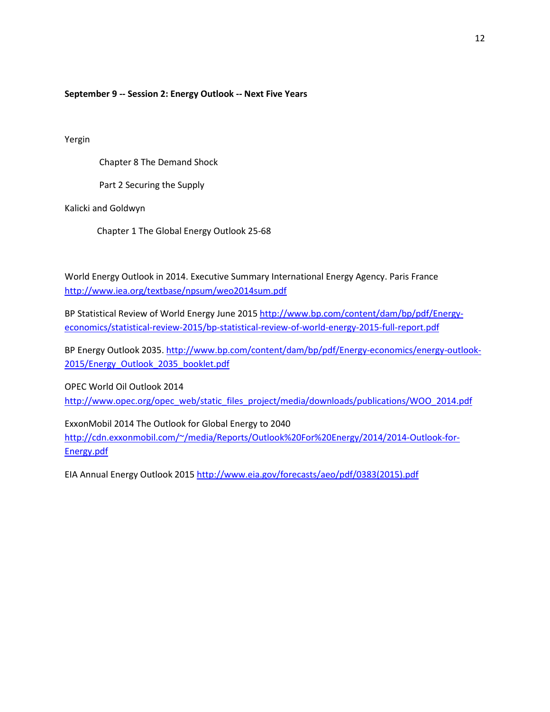### **September 9 -- Session 2: Energy Outlook -- Next Five Years**

Yergin

Chapter 8 The Demand Shock

Part 2 Securing the Supply

Kalicki and Goldwyn

Chapter 1 The Global Energy Outlook 25-68

World Energy Outlook in 2014. Executive Summary International Energy Agency. Paris France <http://www.iea.org/textbase/npsum/weo2014sum.pdf>

BP Statistical Review of World Energy June 2015 [http://www.bp.com/content/dam/bp/pdf/Energy](http://www.bp.com/content/dam/bp/pdf/Energy-economics/statistical-review-2015/bp-statistical-review-of-world-energy-2015-full-report.pdf)[economics/statistical-review-2015/bp-statistical-review-of-world-energy-2015-full-report.pdf](http://www.bp.com/content/dam/bp/pdf/Energy-economics/statistical-review-2015/bp-statistical-review-of-world-energy-2015-full-report.pdf)

BP Energy Outlook 2035. [http://www.bp.com/content/dam/bp/pdf/Energy-economics/energy-outlook-](http://www.bp.com/content/dam/bp/pdf/Energy-economics/energy-outlook-2015/Energy_Outlook_2035_booklet.pdf)[2015/Energy\\_Outlook\\_2035\\_booklet.pdf](http://www.bp.com/content/dam/bp/pdf/Energy-economics/energy-outlook-2015/Energy_Outlook_2035_booklet.pdf)

OPEC World Oil Outlook 2014

[http://www.opec.org/opec\\_web/static\\_files\\_project/media/downloads/publications/WOO\\_2014.pdf](http://www.opec.org/opec_web/static_files_project/media/downloads/publications/WOO_2014.pdf)

ExxonMobil 2014 The Outlook for Global Energy to 2040

[http://cdn.exxonmobil.com/~/media/Reports/Outlook%20For%20Energy/2014/2014-Outlook-for-](http://cdn.exxonmobil.com/~/media/Reports/Outlook%20For%20Energy/2014/2014-Outlook-for-Energy.pdf)[Energy.pdf](http://cdn.exxonmobil.com/~/media/Reports/Outlook%20For%20Energy/2014/2014-Outlook-for-Energy.pdf)

EIA Annual Energy Outlook 2015 [http://www.eia.gov/forecasts/aeo/pdf/0383\(2015\).pdf](http://www.eia.gov/forecasts/aeo/pdf/0383(2015).pdf)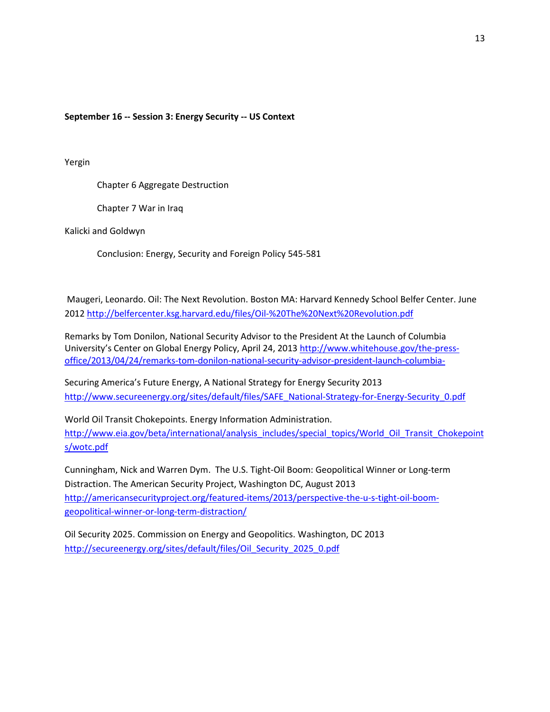**September 16 -- Session 3: Energy Security -- US Context** 

Yergin

Chapter 6 Aggregate Destruction

Chapter 7 War in Iraq

Kalicki and Goldwyn

Conclusion: Energy, Security and Foreign Policy 545-581

Maugeri, Leonardo. Oil: The Next Revolution. Boston MA: Harvard Kennedy School Belfer Center. June 2012<http://belfercenter.ksg.harvard.edu/files/Oil-%20The%20Next%20Revolution.pdf>

Remarks by Tom Donilon, National Security Advisor to the President At the Launch of Columbia University's Center on Global Energy Policy, April 24, 2013 [http://www.whitehouse.gov/the-press](http://www.whitehouse.gov/the-press-office/2013/04/24/remarks-tom-donilon-national-security-advisor-president-launch-columbia-)[office/2013/04/24/remarks-tom-donilon-national-security-advisor-president-launch-columbia-](http://www.whitehouse.gov/the-press-office/2013/04/24/remarks-tom-donilon-national-security-advisor-president-launch-columbia-)

Securing America's Future Energy, A National Strategy for Energy Security 2013 [http://www.secureenergy.org/sites/default/files/SAFE\\_National-Strategy-for-Energy-Security\\_0.pdf](http://www.secureenergy.org/sites/default/files/SAFE_National-Strategy-for-Energy-Security_0.pdf)

World Oil Transit Chokepoints. Energy Information Administration. [http://www.eia.gov/beta/international/analysis\\_includes/special\\_topics/World\\_Oil\\_Transit\\_Chokepoint](http://www.eia.gov/beta/international/analysis_includes/special_topics/World_Oil_Transit_Chokepoints/wotc.pdf) [s/wotc.pdf](http://www.eia.gov/beta/international/analysis_includes/special_topics/World_Oil_Transit_Chokepoints/wotc.pdf)

Cunningham, Nick and Warren Dym. The U.S. Tight-Oil Boom: Geopolitical Winner or Long-term Distraction. The American Security Project, Washington DC, August 2013 [http://americansecurityproject.org/featured-items/2013/perspective-the-u-s-tight-oil-boom](http://americansecurityproject.org/featured-items/2013/perspective-the-u-s-tight-oil-boom-geopolitical-winner-or-long-term-distraction/)[geopolitical-winner-or-long-term-distraction/](http://americansecurityproject.org/featured-items/2013/perspective-the-u-s-tight-oil-boom-geopolitical-winner-or-long-term-distraction/)

Oil Security 2025. Commission on Energy and Geopolitics. Washington, DC 2013 [http://secureenergy.org/sites/default/files/Oil\\_Security\\_2025\\_0.pdf](http://secureenergy.org/sites/default/files/Oil_Security_2025_0.pdf)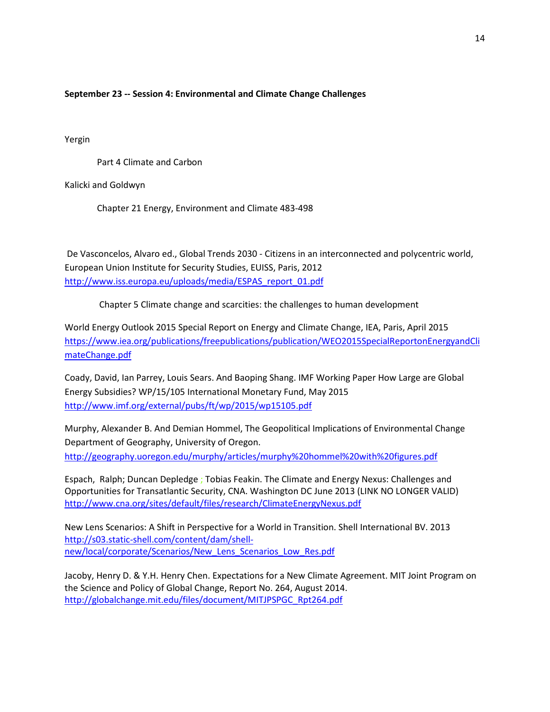# **September 23 -- Session 4: Environmental and Climate Change Challenges**

Yergin

Part 4 Climate and Carbon

Kalicki and Goldwyn

Chapter 21 Energy, Environment and Climate 483-498

De Vasconcelos, Alvaro ed., Global Trends 2030 - Citizens in an interconnected and polycentric world, European Union Institute for Security Studies, EUISS, Paris, 2012 [http://www.iss.europa.eu/uploads/media/ESPAS\\_report\\_01.pdf](http://www.iss.europa.eu/uploads/media/ESPAS_report_01.pdf)

Chapter 5 Climate change and scarcities: the challenges to human development

World Energy Outlook 2015 Special Report on Energy and Climate Change, IEA, Paris, April 2015 [https://www.iea.org/publications/freepublications/publication/WEO2015SpecialReportonEnergyandCli](https://www.iea.org/publications/freepublications/publication/WEO2015SpecialReportonEnergyandClimateChange.pdf) [mateChange.pdf](https://www.iea.org/publications/freepublications/publication/WEO2015SpecialReportonEnergyandClimateChange.pdf)

Coady, David, Ian Parrey, Louis Sears. And Baoping Shang. IMF Working Paper How Large are Global Energy Subsidies? WP/15/105 International Monetary Fund, May 2015 <http://www.imf.org/external/pubs/ft/wp/2015/wp15105.pdf>

Murphy, Alexander B. And Demian Hommel, The Geopolitical Implications of Environmental Change Department of Geography, University of Oregon. <http://geography.uoregon.edu/murphy/articles/murphy%20hommel%20with%20figures.pdf>

Espach, Ralph; Duncan Depledge ; Tobias Feakin. The Climate and Energy Nexus: Challenges and Opportunities for Transatlantic Security, CNA. Washington DC June 2013 (LINK NO LONGER VALID) <http://www.cna.org/sites/default/files/research/ClimateEnergyNexus.pdf>

New Lens Scenarios: A Shift in Perspective for a World in Transition. Shell International BV. 2013 [http://s03.static-shell.com/content/dam/shell](http://s03.static-shell.com/content/dam/shell-new/local/corporate/Scenarios/New_Lens_Scenarios_Low_Res.pdf)[new/local/corporate/Scenarios/New\\_Lens\\_Scenarios\\_Low\\_Res.pdf](http://s03.static-shell.com/content/dam/shell-new/local/corporate/Scenarios/New_Lens_Scenarios_Low_Res.pdf)

Jacoby, Henry D. & Y.H. Henry Chen. Expectations for a New Climate Agreement. MIT Joint Program on the Science and Policy of Global Change, Report No. 264, August 2014. [http://globalchange.mit.edu/files/document/MITJPSPGC\\_Rpt264.pdf](http://globalchange.mit.edu/files/document/MITJPSPGC_Rpt264.pdf)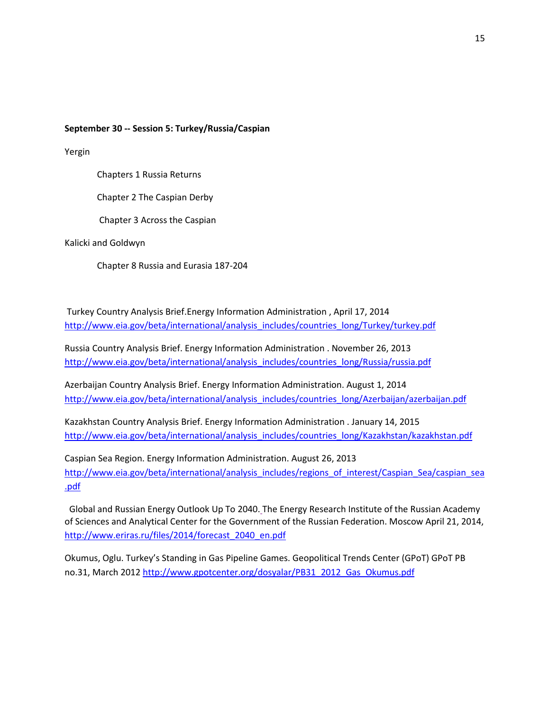#### **September 30 -- Session 5: Turkey/Russia/Caspian**

Yergin

Chapters 1 Russia Returns

Chapter 2 The Caspian Derby

Chapter 3 Across the Caspian

Kalicki and Goldwyn

Chapter 8 Russia and Eurasia 187-204

Turkey Country Analysis Brief.Energy Information Administration , April 17, 2014 [http://www.eia.gov/beta/international/analysis\\_includes/countries\\_long/Turkey/turkey.pdf](http://www.eia.gov/beta/international/analysis_includes/countries_long/Turkey/turkey.pdf)

Russia Country Analysis Brief. Energy Information Administration . November 26, 2013 [http://www.eia.gov/beta/international/analysis\\_includes/countries\\_long/Russia/russia.pdf](http://www.eia.gov/beta/international/analysis_includes/countries_long/Russia/russia.pdf)

Azerbaijan Country Analysis Brief. Energy Information Administration. August 1, 2014 [http://www.eia.gov/beta/international/analysis\\_includes/countries\\_long/Azerbaijan/azerbaijan.pdf](http://www.eia.gov/beta/international/analysis_includes/countries_long/Azerbaijan/azerbaijan.pdf)

Kazakhstan Country Analysis Brief. Energy Information Administration . January 14, 2015 [http://www.eia.gov/beta/international/analysis\\_includes/countries\\_long/Kazakhstan/kazakhstan.pdf](http://www.eia.gov/beta/international/analysis_includes/countries_long/Kazakhstan/kazakhstan.pdf)

Caspian Sea Region. Energy Information Administration. August 26, 2013 [http://www.eia.gov/beta/international/analysis\\_includes/regions\\_of\\_interest/Caspian\\_Sea/caspian\\_sea](http://www.eia.gov/beta/international/analysis_includes/regions_of_interest/Caspian_Sea/caspian_sea.pdf) [.pdf](http://www.eia.gov/beta/international/analysis_includes/regions_of_interest/Caspian_Sea/caspian_sea.pdf)

Global and Russian Energy Outlook Up To 2040. The Energy Research Institute of the Russian Academy of Sciences and Analytical Center for the Government of the Russian Federation. Moscow April 21, 2014, [http://www.eriras.ru/files/2014/forecast\\_2040\\_en.pdf](http://www.eriras.ru/files/2014/forecast_2040_en.pdf)

Okumus, Oglu. Turkey's Standing in Gas Pipeline Games. Geopolitical Trends Center (GPoT) GPoT PB no.31, March 2012 [http://www.gpotcenter.org/dosyalar/PB31\\_2012\\_Gas\\_Okumus.pdf](http://www.gpotcenter.org/dosyalar/PB31_2012_Gas_Okumus.pdf)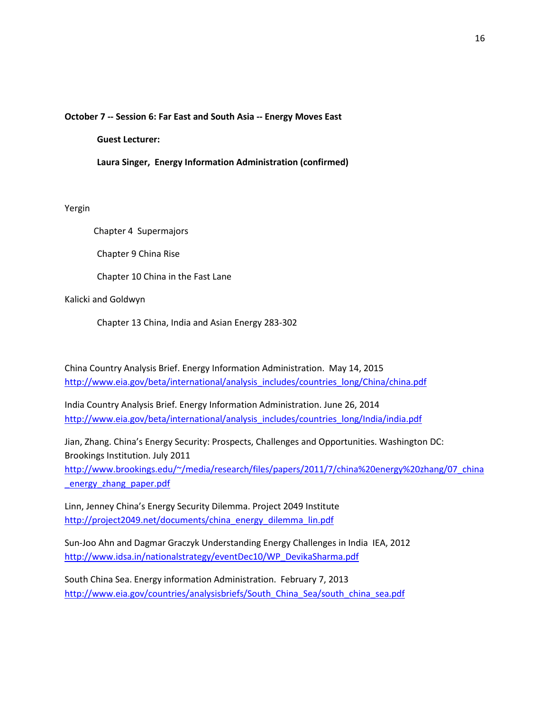#### **October 7 -- Session 6: Far East and South Asia -- Energy Moves East**

**Guest Lecturer:**

**Laura Singer, Energy Information Administration (confirmed)**

Yergin

Chapter 4 Supermajors

Chapter 9 China Rise

Chapter 10 China in the Fast Lane

Kalicki and Goldwyn

Chapter 13 China, India and Asian Energy 283-302

China Country Analysis Brief. Energy Information Administration. May 14, 2015 [http://www.eia.gov/beta/international/analysis\\_includes/countries\\_long/China/china.pdf](http://www.eia.gov/beta/international/analysis_includes/countries_long/China/china.pdf)

India Country Analysis Brief. Energy Information Administration. June 26, 2014 [http://www.eia.gov/beta/international/analysis\\_includes/countries\\_long/India/india.pdf](http://www.eia.gov/beta/international/analysis_includes/countries_long/India/india.pdf)

Jian, Zhang. China's Energy Security: Prospects, Challenges and Opportunities. Washington DC: Brookings Institution. July 2011

[http://www.brookings.edu/~/media/research/files/papers/2011/7/china%20energy%20zhang/07\\_china](http://www.brookings.edu/~/media/research/files/papers/2011/7/china%20energy%20zhang/07_china_energy_zhang_paper.pdf) [\\_energy\\_zhang\\_paper.pdf](http://www.brookings.edu/~/media/research/files/papers/2011/7/china%20energy%20zhang/07_china_energy_zhang_paper.pdf)

Linn, Jenney China's Energy Security Dilemma. Project 2049 Institute [http://project2049.net/documents/china\\_energy\\_dilemma\\_lin.pdf](http://project2049.net/documents/china_energy_dilemma_lin.pdf)

Sun-Joo Ahn and Dagmar Graczyk Understanding Energy Challenges in India IEA, 2012 [http://www.idsa.in/nationalstrategy/eventDec10/WP\\_DevikaSharma.pdf](http://www.idsa.in/nationalstrategy/eventDec10/WP_DevikaSharma.pdf)

South China Sea. Energy information Administration. February 7, 2013 http://www.eia.gov/countries/analysisbriefs/South China Sea/south china sea.pdf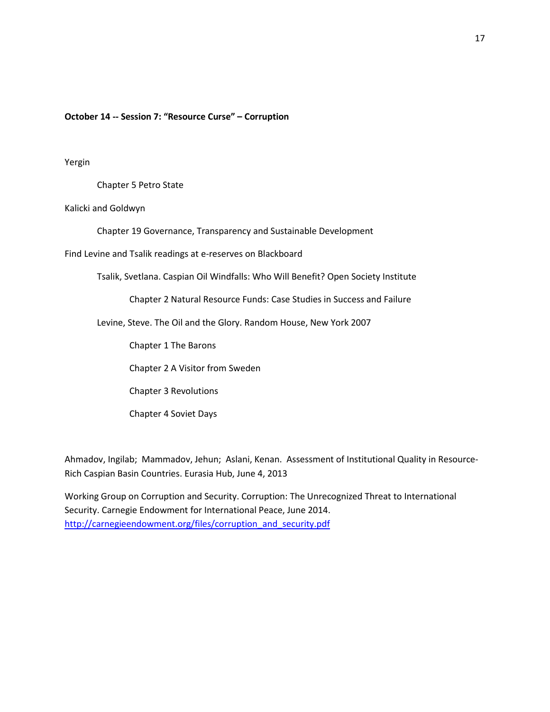#### **October 14 -- Session 7: "Resource Curse" – Corruption**

#### Yergin

Chapter 5 Petro State

Kalicki and Goldwyn

Chapter 19 Governance, Transparency and Sustainable Development

Find Levine and Tsalik readings at e-reserves on Blackboard

Tsalik, Svetlana. Caspian Oil Windfalls: Who Will Benefit? Open Society Institute

Chapter 2 Natural Resource Funds: Case Studies in Success and Failure

Levine, Steve. The Oil and the Glory. Random House, New York 2007

Chapter 1 The Barons

Chapter 2 A Visitor from Sweden

Chapter 3 Revolutions

Chapter 4 Soviet Days

Ahmadov, Ingilab; Mammadov, Jehun; Aslani, Kenan. Assessment of Institutional Quality in Resource-Rich Caspian Basin Countries. Eurasia Hub, June 4, 2013

Working Group on Corruption and Security. Corruption: The Unrecognized Threat to International Security. Carnegie Endowment for International Peace, June 2014. [http://carnegieendowment.org/files/corruption\\_and\\_security.pdf](http://carnegieendowment.org/files/corruption_and_security.pdf)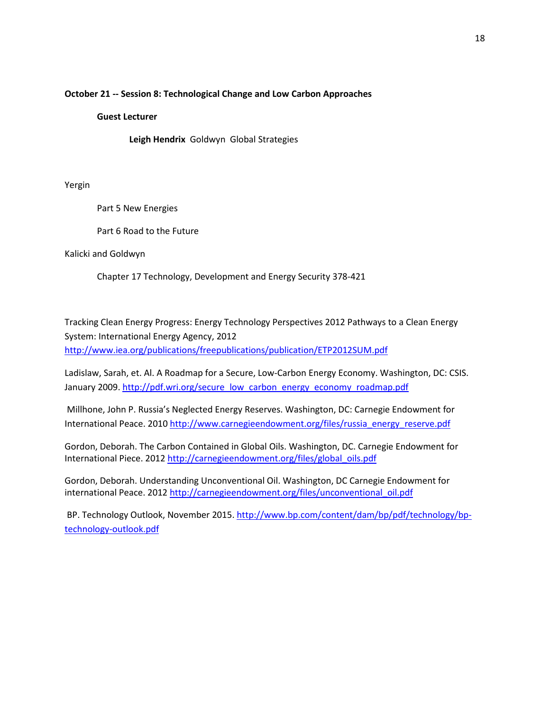#### **October 21 -- Session 8: Technological Change and Low Carbon Approaches**

#### **Guest Lecturer**

**Leigh Hendrix** GoldwynGlobal Strategies

Yergin

Part 5 New Energies

Part 6 Road to the Future

Kalicki and Goldwyn

Chapter 17 Technology, Development and Energy Security 378-421

Tracking Clean Energy Progress: Energy Technology Perspectives 2012 Pathways to a Clean Energy System: International Energy Agency, 2012 <http://www.iea.org/publications/freepublications/publication/ETP2012SUM.pdf>

Ladislaw, Sarah, et. Al. A Roadmap for a Secure, Low-Carbon Energy Economy. Washington, DC: CSIS. January 2009[. http://pdf.wri.org/secure\\_low\\_carbon\\_energy\\_economy\\_roadmap.pdf](http://pdf.wri.org/secure_low_carbon_energy_economy_roadmap.pdf)

Millhone, John P. Russia's Neglected Energy Reserves. Washington, DC: Carnegie Endowment for International Peace. 2010 [http://www.carnegieendowment.org/files/russia\\_energy\\_reserve.pdf](http://www.carnegieendowment.org/files/russia_energy_reserve.pdf)

Gordon, Deborah. The Carbon Contained in Global Oils. Washington, DC. Carnegie Endowment for International Piece. 201[2 http://carnegieendowment.org/files/global\\_oils.pdf](http://carnegieendowment.org/files/global_oils.pdf)

Gordon, Deborah. Understanding Unconventional Oil. Washington, DC Carnegie Endowment for international Peace. 2012 [http://carnegieendowment.org/files/unconventional\\_oil.pdf](http://carnegieendowment.org/files/unconventional_oil.pdf)

BP. Technology Outlook, November 2015[. http://www.bp.com/content/dam/bp/pdf/technology/bp](http://www.bp.com/content/dam/bp/pdf/technology/bp-technology-outlook.pdf)[technology-outlook.pdf](http://www.bp.com/content/dam/bp/pdf/technology/bp-technology-outlook.pdf)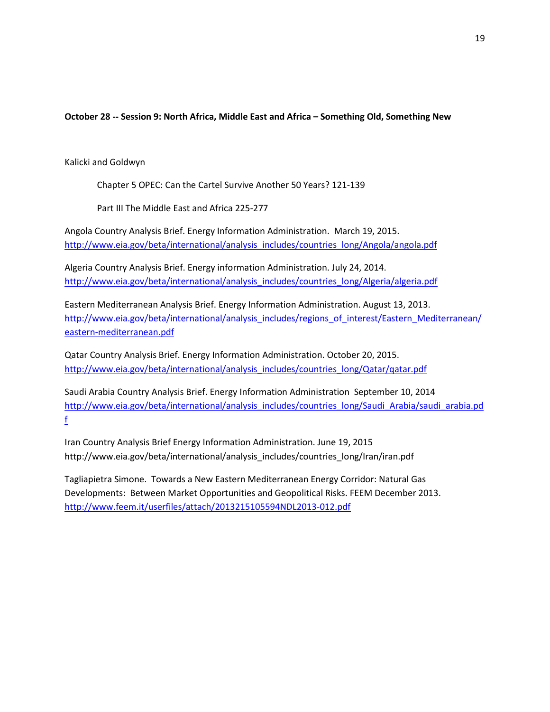# **October 28 -- Session 9: North Africa, Middle East and Africa – Something Old, Something New**

Kalicki and Goldwyn

Chapter 5 OPEC: Can the Cartel Survive Another 50 Years? 121-139

Part III The Middle East and Africa 225-277

Angola Country Analysis Brief. Energy Information Administration. March 19, 2015. [http://www.eia.gov/beta/international/analysis\\_includes/countries\\_long/Angola/angola.pdf](http://www.eia.gov/beta/international/analysis_includes/countries_long/Angola/angola.pdf)

Algeria Country Analysis Brief. Energy information Administration. July 24, 2014. [http://www.eia.gov/beta/international/analysis\\_includes/countries\\_long/Algeria/algeria.pdf](http://www.eia.gov/beta/international/analysis_includes/countries_long/Algeria/algeria.pdf)

Eastern Mediterranean Analysis Brief. Energy Information Administration. August 13, 2013. [http://www.eia.gov/beta/international/analysis\\_includes/regions\\_of\\_interest/Eastern\\_Mediterranean/](http://www.eia.gov/beta/international/analysis_includes/regions_of_interest/Eastern_Mediterranean/eastern-mediterranean.pdf) [eastern-mediterranean.pdf](http://www.eia.gov/beta/international/analysis_includes/regions_of_interest/Eastern_Mediterranean/eastern-mediterranean.pdf)

Qatar Country Analysis Brief. Energy Information Administration. October 20, 2015. [http://www.eia.gov/beta/international/analysis\\_includes/countries\\_long/Qatar/qatar.pdf](http://www.eia.gov/beta/international/analysis_includes/countries_long/Qatar/qatar.pdf)

Saudi Arabia Country Analysis Brief. Energy Information Administration September 10, 2014 [http://www.eia.gov/beta/international/analysis\\_includes/countries\\_long/Saudi\\_Arabia/saudi\\_arabia.pd](http://www.eia.gov/beta/international/analysis_includes/countries_long/Saudi_Arabia/saudi_arabia.pdf) [f](http://www.eia.gov/beta/international/analysis_includes/countries_long/Saudi_Arabia/saudi_arabia.pdf)

Iran Country Analysis Brief Energy Information Administration. June 19, 2015 http://www.eia.gov/beta/international/analysis\_includes/countries\_long/Iran/iran.pdf

Tagliapietra Simone. Towards a New Eastern Mediterranean Energy Corridor: Natural Gas Developments: Between Market Opportunities and Geopolitical Risks. FEEM December 2013. <http://www.feem.it/userfiles/attach/2013215105594NDL2013-012.pdf>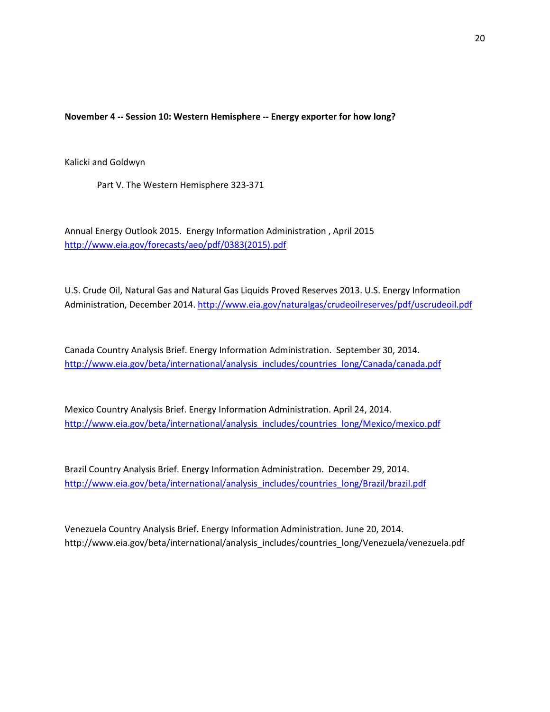**November 4 -- Session 10: Western Hemisphere -- Energy exporter for how long?** 

Kalicki and Goldwyn

Part V. The Western Hemisphere 323-371

Annual Energy Outlook 2015. Energy Information Administration , April 2015 [http://www.eia.gov/forecasts/aeo/pdf/0383\(2015\).pdf](http://www.eia.gov/forecasts/aeo/pdf/0383(2015).pdf)

U.S. Crude Oil, Natural Gas and Natural Gas Liquids Proved Reserves 2013. U.S. Energy Information Administration, December 2014.<http://www.eia.gov/naturalgas/crudeoilreserves/pdf/uscrudeoil.pdf>

Canada Country Analysis Brief. Energy Information Administration. September 30, 2014. [http://www.eia.gov/beta/international/analysis\\_includes/countries\\_long/Canada/canada.pdf](http://www.eia.gov/beta/international/analysis_includes/countries_long/Canada/canada.pdf)

Mexico Country Analysis Brief. Energy Information Administration. April 24, 2014. [http://www.eia.gov/beta/international/analysis\\_includes/countries\\_long/Mexico/mexico.pdf](http://www.eia.gov/beta/international/analysis_includes/countries_long/Mexico/mexico.pdf)

Brazil Country Analysis Brief. Energy Information Administration. December 29, 2014. [http://www.eia.gov/beta/international/analysis\\_includes/countries\\_long/Brazil/brazil.pdf](http://www.eia.gov/beta/international/analysis_includes/countries_long/Brazil/brazil.pdf)

Venezuela Country Analysis Brief. Energy Information Administration. June 20, 2014. http://www.eia.gov/beta/international/analysis\_includes/countries\_long/Venezuela/venezuela.pdf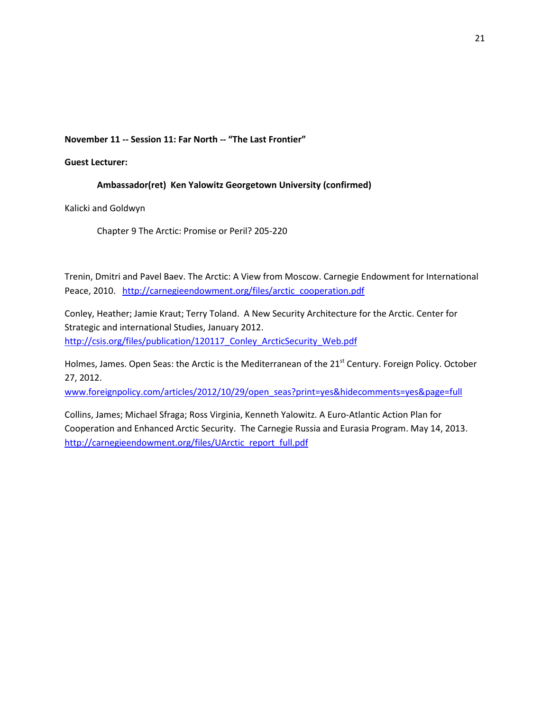**November 11 -- Session 11: Far North -- "The Last Frontier"** 

**Guest Lecturer:** 

# **Ambassador(ret) Ken Yalowitz Georgetown University (confirmed)**

Kalicki and Goldwyn

Chapter 9 The Arctic: Promise or Peril? 205-220

Trenin, Dmitri and Pavel Baev. The Arctic: A View from Moscow. Carnegie Endowment for International Peace, 2010. [http://carnegieendowment.org/files/arctic\\_cooperation.pdf](http://carnegieendowment.org/files/arctic_cooperation.pdf)

Conley, Heather; Jamie Kraut; Terry Toland. A New Security Architecture for the Arctic. Center for Strategic and international Studies, January 2012. [http://csis.org/files/publication/120117\\_Conley\\_ArcticSecurity\\_Web.pdf](http://csis.org/files/publication/120117_Conley_ArcticSecurity_Web.pdf)

Holmes, James. Open Seas: the Arctic is the Mediterranean of the 21<sup>st</sup> Century. Foreign Policy. October 27, 2012.

[www.foreignpolicy.com/articles/2012/10/29/open\\_seas?print=yes&hidecomments=yes&page=full](http://www.foreignpolicy.com/articles/2012/10/29/open_seas?print=yes&hidecomments=yes&page=full)

Collins, James; Michael Sfraga; Ross Virginia, Kenneth Yalowitz. A Euro-Atlantic Action Plan for Cooperation and Enhanced Arctic Security. The Carnegie Russia and Eurasia Program. May 14, 2013. [http://carnegieendowment.org/files/UArctic\\_report\\_full.pdf](http://carnegieendowment.org/files/UArctic_report_full.pdf)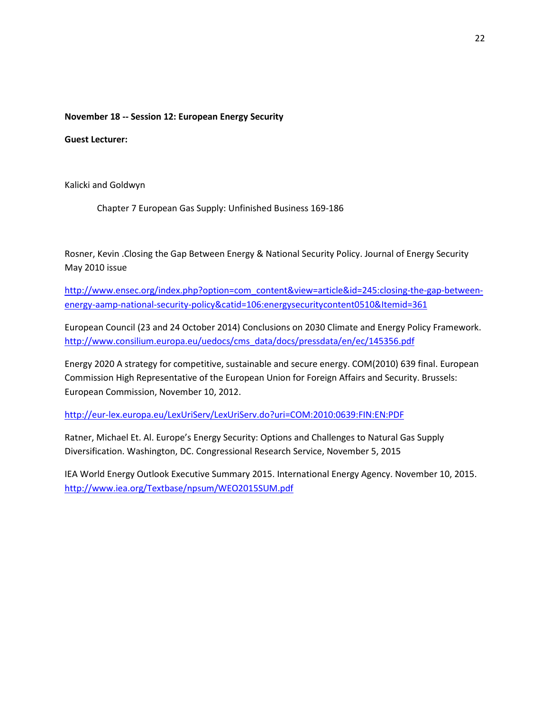### **November 18 -- Session 12: European Energy Security**

**Guest Lecturer:** 

Kalicki and Goldwyn

Chapter 7 European Gas Supply: Unfinished Business 169-186

Rosner, Kevin .Closing the Gap Between Energy & National Security Policy. Journal of Energy Security May 2010 issue

[http://www.ensec.org/index.php?option=com\\_content&view=article&id=245:closing-the-gap-between](http://www.ensec.org/index.php?option=com_content&view=article&id=245:closing-the-gap-between-energy-aamp-national-security-policy&catid=106:energysecuritycontent0510&Itemid=361)[energy-aamp-national-security-policy&catid=106:energysecuritycontent0510&Itemid=361](http://www.ensec.org/index.php?option=com_content&view=article&id=245:closing-the-gap-between-energy-aamp-national-security-policy&catid=106:energysecuritycontent0510&Itemid=361)

European Council (23 and 24 October 2014) Conclusions on 2030 Climate and Energy Policy Framework. [http://www.consilium.europa.eu/uedocs/cms\\_data/docs/pressdata/en/ec/145356.pdf](http://www.consilium.europa.eu/uedocs/cms_data/docs/pressdata/en/ec/145356.pdf)

Energy 2020 A strategy for competitive, sustainable and secure energy. COM(2010) 639 final. European Commission High Representative of the European Union for Foreign Affairs and Security. Brussels: European Commission, November 10, 2012.

<http://eur-lex.europa.eu/LexUriServ/LexUriServ.do?uri=COM:2010:0639:FIN:EN:PDF>

Ratner, Michael Et. Al. Europe's Energy Security: Options and Challenges to Natural Gas Supply Diversification. Washington, DC. Congressional Research Service, November 5, 2015

IEA World Energy Outlook Executive Summary 2015. International Energy Agency. November 10, 2015. <http://www.iea.org/Textbase/npsum/WEO2015SUM.pdf>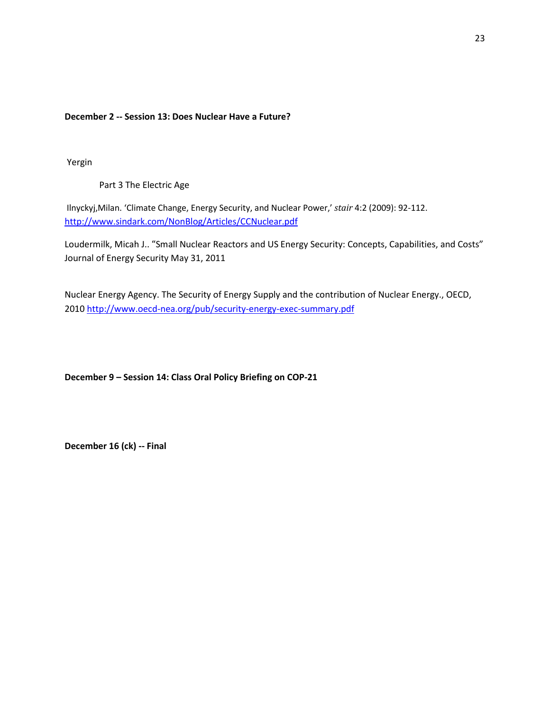**December 2 -- Session 13: Does Nuclear Have a Future?** 

Yergin

Part 3 The Electric Age

Ilnyckyj,Milan. 'Climate Change, Energy Security, and Nuclear Power,' *stair* 4:2 (2009): 92-112. <http://www.sindark.com/NonBlog/Articles/CCNuclear.pdf>

Loudermilk, Micah J[..](http://www.ensec.org/index.php?option=com_content&view=article&id=314:small-nuclear-reactors-and-us-energy-security-concepts-capabilities-and-costs&catid=116:content0411&Itemid=375) **"**[Small Nuclear Reactors and US Energy Security: Concepts, Capabilities, and Costs"](http://www.ensec.org/index.php?option=com_content&view=article&id=314:small-nuclear-reactors-and-us-energy-security-concepts-capabilities-and-costs&catid=116:content0411&Itemid=375)  Journal of Energy Security May 31, 2011

Nuclear Energy Agency. The Security of Energy Supply and the contribution of Nuclear Energy., OECD, 2010<http://www.oecd-nea.org/pub/security-energy-exec-summary.pdf>

**December 9 – Session 14: Class Oral Policy Briefing on COP-21**

**December 16 (ck) -- Final**